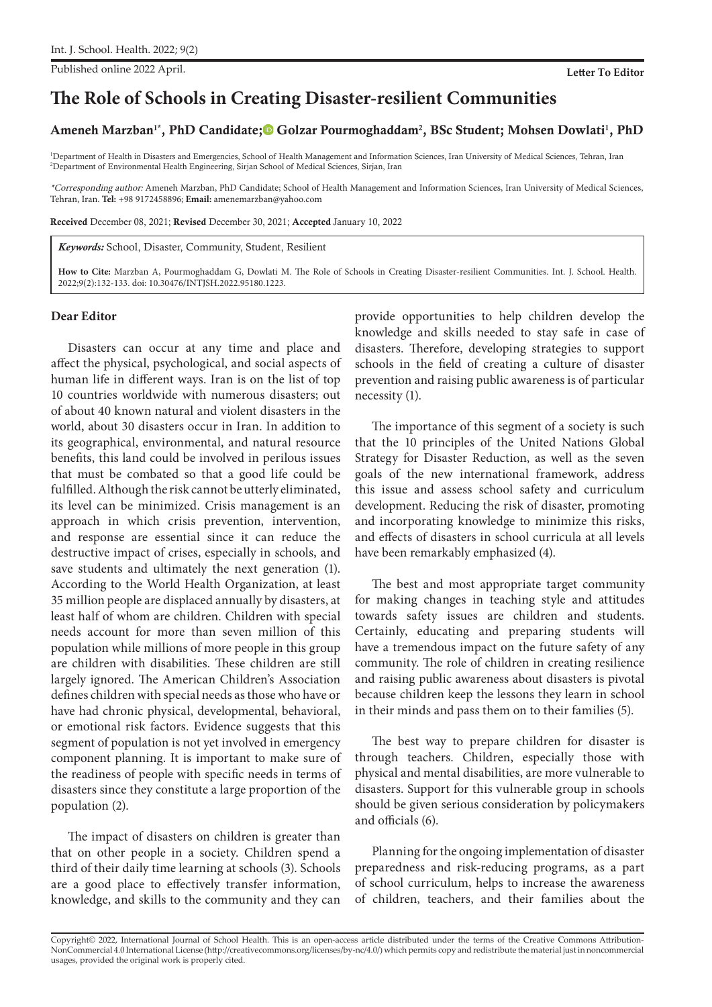Published online 2022 April. **Letter To Editor**

# **The Role of Schools in Creating Disaster-resilient Communities**

## Ameneh Marzban<sup>1\*</sup>, PhD Candidate;<sup>®</sup> Golzar Pourmoghaddam<sup>2</sup>, BSc Student[;](https://orcid.org/0000-0002-8111-3319) Mohsen Dowlati<sup>1</sup>, PhD

1 Department of Health in Disasters and Emergencies, School of Health Management and Information Sciences, Iran University of Medical Sciences, Tehran, Iran 2 Department of Environmental Health Engineering, Sirjan School of Medical Sciences, Sirjan, Iran

\*Corresponding author: Ameneh Marzban, PhD Candidate; School of Health Management and Information Sciences, Iran University of Medical Sciences, Tehran, Iran. **Tel:** +98 9172458896; **Email:** amenemarzban@yahoo.com

Received December 08, 2021; Revised December 30, 2021; Accepted January 10, 2022

*Keywords:* School, Disaster, Community, Student, Resilient

**How to Cite:** Marzban A, Pourmoghaddam G, Dowlati M. The Role of Schools in Creating Disaster-resilient Communities. Int. J. School. Health. 2022;9(2):132-133. doi: 10.30476/INTJSH.2022.95180.1223.

#### **Dear Editor**

Disasters can occur at any time and place and affect the physical, psychological, and social aspects of human life in different ways. Iran is on the list of top 10 countries worldwide with numerous disasters; out of about 40 known natural and violent disasters in the world, about 30 disasters occur in Iran. In addition to its geographical, environmental, and natural resource benefits, this land could be involved in perilous issues that must be combated so that a good life could be fulfilled. Although the risk cannot be utterly eliminated, its level can be minimized. Crisis management is an approach in which crisis prevention, intervention, and response are essential since it can reduce the destructive impact of crises, especially in schools, and save students and ultimately the next generation (1). According to the World Health Organization, at least 35 million people are displaced annually by disasters, at least half of whom are children. Children with special needs account for more than seven million of this population while millions of more people in this group are children with disabilities. These children are still largely ignored. The American Children's Association defines children with special needs as those who have or have had chronic physical, developmental, behavioral, or emotional risk factors. Evidence suggests that this segment of population is not yet involved in emergency component planning. It is important to make sure of the readiness of people with specific needs in terms of disasters since they constitute a large proportion of the population (2).

The impact of disasters on children is greater than that on other people in a society. Children spend a third of their daily time learning at schools (3). Schools are a good place to effectively transfer information, knowledge, and skills to the community and they can

provide opportunities to help children develop the knowledge and skills needed to stay safe in case of disasters. Therefore, developing strategies to support schools in the field of creating a culture of disaster prevention and raising public awareness is of particular necessity (1).

The importance of this segment of a society is such that the 10 principles of the United Nations Global Strategy for Disaster Reduction, as well as the seven goals of the new international framework, address this issue and assess school safety and curriculum development. Reducing the risk of disaster, promoting and incorporating knowledge to minimize this risks, and effects of disasters in school curricula at all levels have been remarkably emphasized (4).

The best and most appropriate target community for making changes in teaching style and attitudes towards safety issues are children and students. Certainly, educating and preparing students will have a tremendous impact on the future safety of any community. The role of children in creating resilience and raising public awareness about disasters is pivotal because children keep the lessons they learn in school in their minds and pass them on to their families (5).

The best way to prepare children for disaster is through teachers. Children, especially those with physical and mental disabilities, are more vulnerable to disasters. Support for this vulnerable group in schools should be given serious consideration by policymakers and officials (6).

Planning for the ongoing implementation of disaster preparedness and risk-reducing programs, as a part of school curriculum, helps to increase the awareness of children, teachers, and their families about the

Copyright© 2022, International Journal of School Health. This is an open-access article distributed under the terms of the Creative Commons Attribution-NonCommercial 4.0 International License (http://creativecommons.org/licenses/by-nc/4.0/) which permits copy and redistribute the material just in noncommercial usages, provided the original work is properly cited.